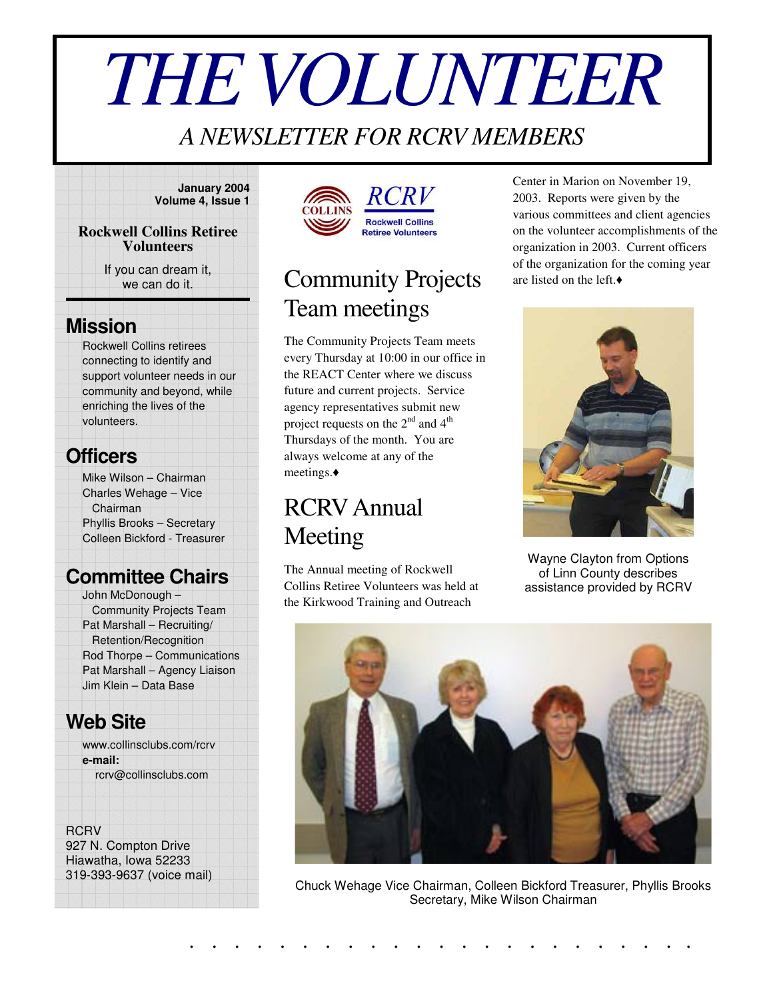# *THEVOLUNTEER*

## *A NEWSLETTER FOR RCRV MEMBERS*

**January 2004 Volume 4, Issue 1**

#### **Rockwell Collins Retiree Volunteers**

If you can dream it, we can do it.

#### **Mission**

Rockwell Collins retirees connecting to identify and support volunteer needs in our community and beyond, while enriching the lives of the volunteers.

## **Officers**

Mike Wilson – Chairman Charles Wehage – Vice Chairman Phyllis Brooks – Secretary Colleen Bickford - Treasurer

#### **Committee Chairs**

John McDonough – Community Projects Team Pat Marshall – Recruiting/ Retention/Recognition Rod Thorpe – Communications Pat Marshall – Agency Liaison Jim Klein – Data Base

#### **Web Site**

www.collinsclubs.com/rcrv **e-mail:** rcrv@collinsclubs.com

#### **RCRV**

927 N. Compton Drive Hiawatha, Iowa 52233 319-393-9637 (voice mail)





# Community Projects Team meetings

The Community Projects Team meets every Thursday at 10:00 in our office in the REACT Center where we discuss future and current projects. Service agency representatives submit new project requests on the  $2^{nd}$  and  $4^{th}$ Thursdays of the month. You are always welcome at any of the meetings.

# RCRVAnnual Meeting

The Annual meeting of Rockwell Collins Retiree Volunteers was held at the Kirkwood Training and Outreach

Center in Marion on November 19, 2003. Reports were given by the various committees and client agencies on the volunteer accomplishments of the organization in 2003. Current officers of the organization for the coming year are listed on the left.



Wayne Clayton from Options of Linn County describes assistance provided by RCRV



Chuck Wehage Vice Chairman, Colleen Bickford Treasurer, Phyllis Brooks Secretary, Mike Wilson Chairman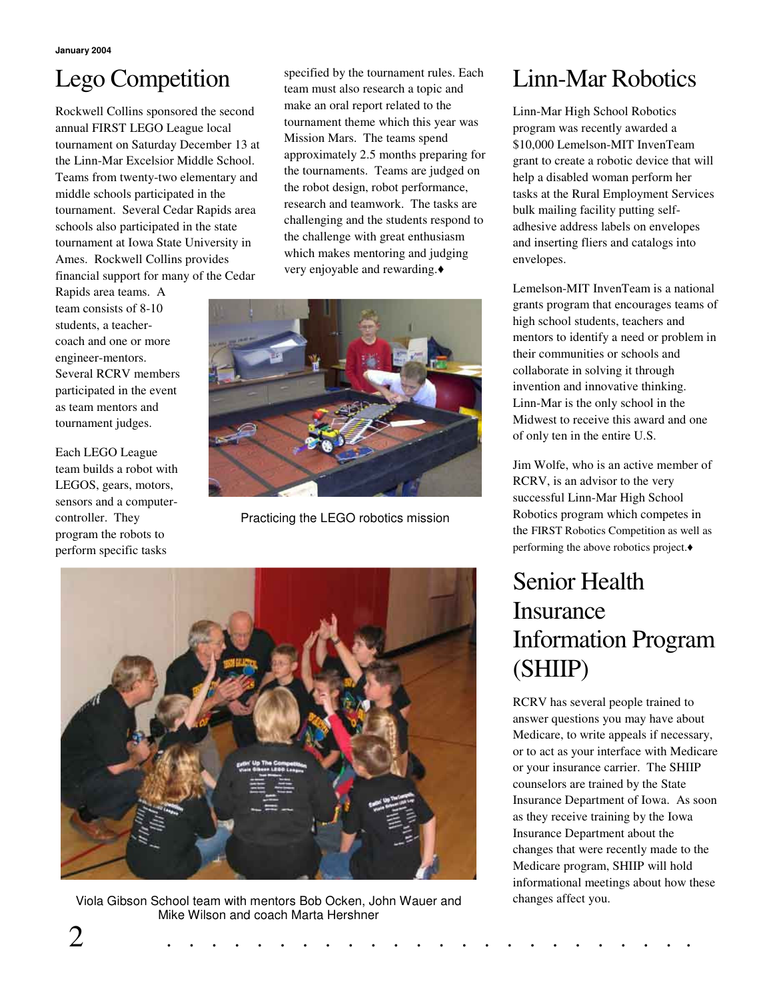# Lego Competition

Rockwell Collins sponsored the second annual FIRST LEGO League local tournament on Saturday December 13 at the Linn-Mar Excelsior Middle School. Teams from twenty-two elementary and middle schools participated in the tournament. Several Cedar Rapids area schools also participated in the state tournament at Iowa State University in Ames. Rockwell Collins provides financial support for many of the Cedar

Rapids area teams. A team consists of 8-10 students, a teachercoach and one or more engineer-mentors. Several RCRV members participated in the event as team mentors and tournament judges.

Each LEGO League team builds a robot with LEGOS, gears, motors, sensors and a computercontroller. They program the robots to perform specific tasks

specified by the tournament rules. Each team must also research a topic and make an oral report related to the tournament theme which this year was Mission Mars. The teams spend approximately 2.5 months preparing for the tournaments. Teams are judged on the robot design, robot performance, research and teamwork. The tasks are challenging and the students respond to the challenge with great enthusiasm which makes mentoring and judging very enjoyable and rewarding.



Practicing the LEGO robotics mission



Viola Gibson School team with mentors Bob Ocken, John Wauer and changes affect you. Mike Wilson and coach Marta Hershner

## Linn-Mar Robotics

Linn-Mar High School Robotics program was recently awarded a \$10,000 Lemelson-MIT InvenTeam grant to create a robotic device that will help a disabled woman perform her tasks at the Rural Employment Services bulk mailing facility putting selfadhesive address labels on envelopes and inserting fliers and catalogs into envelopes.

Lemelson-MIT InvenTeam is a national grants program that encourages teams of high school students, teachers and mentors to identify a need or problem in their communities or schools and collaborate in solving it through invention and innovative thinking. Linn-Mar is the only school in the Midwest to receive this award and one of only ten in the entire U.S.

Jim Wolfe, who is an active member of RCRV, is an advisor to the very successful Linn-Mar High School Robotics program which competes in the FIRST Robotics Competition as well as performing the above robotics project.

# Senior Health **Insurance** Information Program (SHIIP)

RCRV has several people trained to answer questions you may have about Medicare, to write appeals if necessary, or to act as your interface with Medicare or your insurance carrier. The SHIIP counselors are trained by the State Insurance Department of Iowa. As soon as they receive training by the Iowa Insurance Department about the changes that were recently made to the Medicare program, SHIIP will hold informational meetings about how these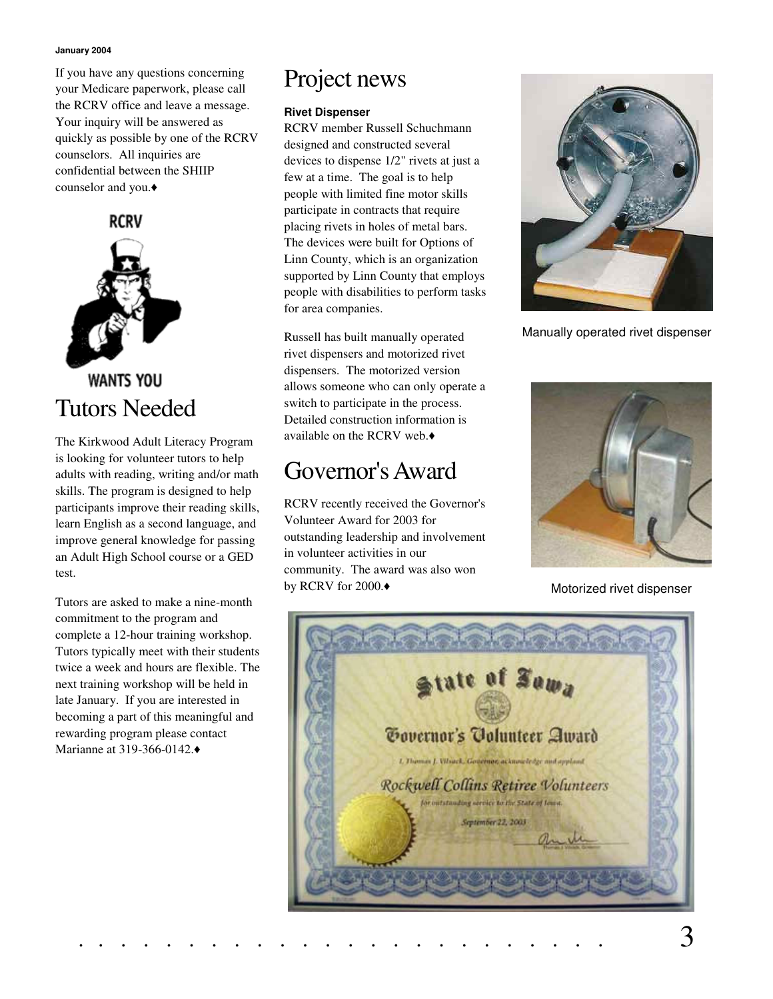#### **January 2004**

If you have any questions concerning your Medicare paperwork, please call the RCRV office and leave a message. Your inquiry will be answered as quickly as possible by one of the RCRV counselors. All inquiries are confidential between the SHIIP counselor and you.



The Kirkwood Adult Literacy Program is looking for volunteer tutors to help adults with reading, writing and/or math skills. The program is designed to help participants improve their reading skills, learn English as a second language, and improve general knowledge for passing an Adult High School course or a GED test.

Tutors are asked to make a nine-month commitment to the program and complete a 12-hour training workshop. Tutors typically meet with their students twice a week and hours are flexible. The next training workshop will be held in late January. If you are interested in becoming a part of this meaningful and rewarding program please contact Marianne at 319-366-0142.

## Project news

#### **Rivet Dispenser**

RCRV member Russell Schuchmann designed and constructed several devices to dispense 1/2" rivets at just a few at a time. The goal is to help people with limited fine motor skills participate in contracts that require placing rivets in holes of metal bars. The devices were built for Options of Linn County, which is an organization supported by Linn County that employs people with disabilities to perform tasks for area companies.

Russell has built manually operated rivet dispensers and motorized rivet dispensers. The motorized version allows someone who can only operate a switch to participate in the process. Detailed construction information is available on the RCRV web.

### Governor's Award

RCRV recently received the Governor's Volunteer Award for 2003 for outstanding leadership and involvement in volunteer activities in our community. The award was also won by RCRV for 2000.



Manually operated rivet dispenser



Motorized rivet dispenser